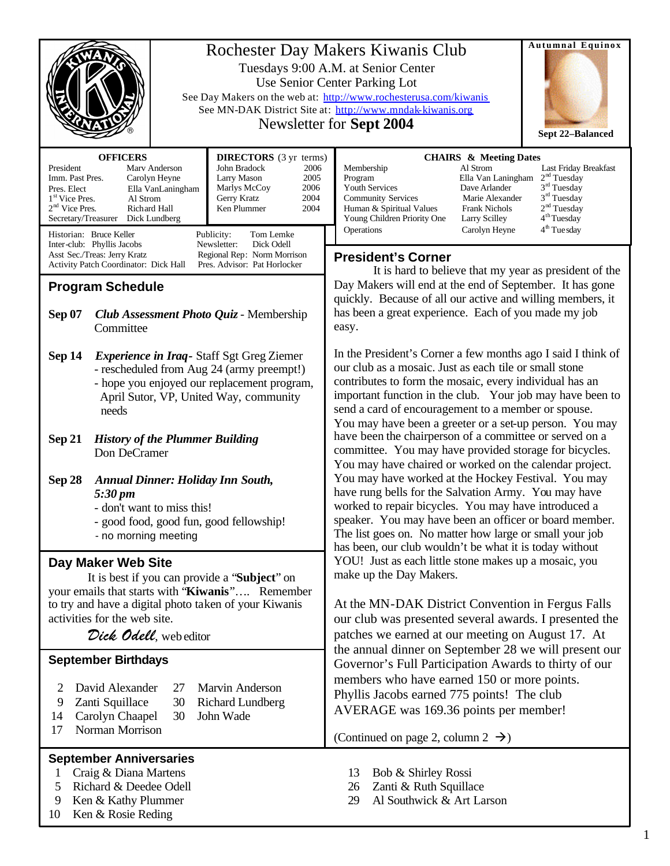|                                                                                                                                                                                                                                                                                                                                                                                                                                                      | <b>Autumnal Equinox</b><br>Rochester Day Makers Kiwanis Club<br>Tuesdays 9:00 A.M. at Senior Center<br>Use Senior Center Parking Lot<br>See Day Makers on the web at: http://www.rochesterusa.com/kiwanis<br>See MN-DAK District Site at: http://www.mndak-kiwanis.org<br>Newsletter for Sept 2004<br>Sept 22-Balanced                                                                                                                                                                                                                                                                                                                                                                                                                                                                                                                                                                                                                                                                                                                                                                                |  |  |
|------------------------------------------------------------------------------------------------------------------------------------------------------------------------------------------------------------------------------------------------------------------------------------------------------------------------------------------------------------------------------------------------------------------------------------------------------|-------------------------------------------------------------------------------------------------------------------------------------------------------------------------------------------------------------------------------------------------------------------------------------------------------------------------------------------------------------------------------------------------------------------------------------------------------------------------------------------------------------------------------------------------------------------------------------------------------------------------------------------------------------------------------------------------------------------------------------------------------------------------------------------------------------------------------------------------------------------------------------------------------------------------------------------------------------------------------------------------------------------------------------------------------------------------------------------------------|--|--|
| <b>OFFICERS</b><br><b>DIRECTORS</b> (3 yr terms)<br>John Bradock<br>President<br>Mary Anderson<br>2006<br>Imm. Past Pres.<br>Larry Mason<br>2005<br>Carolyn Heyne<br>Marlys McCoy<br>2006<br>Pres. Elect<br>Ella VanLaningham<br>2004<br>Gerry Kratz<br>1 <sup>st</sup> Vice Pres.<br>Al Strom<br>$2nd$ Vice Pres.<br>Richard Hall<br>Ken Plummer<br>2004<br>Secretary/Treasurer Dick Lundberg<br>Historian: Bruce Keller<br>Publicity:<br>Tom Lemke | <b>CHAIRS &amp; Meeting Dates</b><br>Al Strom<br>Membership<br>Last Friday Breakfast<br>2 <sup>nd</sup> Tuesday<br>Program<br>Ella Van Laningham<br>$3rd$ Tuesday<br><b>Youth Services</b><br>Dave Arlander<br>$3rd$ Tuesday<br><b>Community Services</b><br>Marie Alexander<br>2 <sup>nd</sup> Tuesday<br><b>Frank Nichols</b><br>Human & Spiritual Values<br>4 <sup>th</sup> Tuesday<br>Young Children Priority One<br>Larry Scilley<br>4 <sup>th</sup> Tue sday<br>Operations<br>Carolyn Heyne                                                                                                                                                                                                                                                                                                                                                                                                                                                                                                                                                                                                     |  |  |
| Inter-club: Phyllis Jacobs<br>Newsletter:<br>Dick Odell<br>Asst Sec./Treas: Jerry Kratz<br>Regional Rep: Norm Morrison<br>Pres. Advisor: Pat Horlocker<br>Activity Patch Coordinator: Dick Hall                                                                                                                                                                                                                                                      | <b>President's Corner</b>                                                                                                                                                                                                                                                                                                                                                                                                                                                                                                                                                                                                                                                                                                                                                                                                                                                                                                                                                                                                                                                                             |  |  |
| <b>Program Schedule</b>                                                                                                                                                                                                                                                                                                                                                                                                                              | It is hard to believe that my year as president of the<br>Day Makers will end at the end of September. It has gone<br>quickly. Because of all our active and willing members, it<br>has been a great experience. Each of you made my job<br>easy.                                                                                                                                                                                                                                                                                                                                                                                                                                                                                                                                                                                                                                                                                                                                                                                                                                                     |  |  |
| <b>Sep 07</b><br><b>Club Assessment Photo Quiz - Membership</b><br>Committee                                                                                                                                                                                                                                                                                                                                                                         |                                                                                                                                                                                                                                                                                                                                                                                                                                                                                                                                                                                                                                                                                                                                                                                                                                                                                                                                                                                                                                                                                                       |  |  |
| Sep 14<br><b>Experience in Iraq-Staff Sgt Greg Ziemer</b><br>- rescheduled from Aug 24 (army preempt!)<br>- hope you enjoyed our replacement program,<br>April Sutor, VP, United Way, community<br>needs                                                                                                                                                                                                                                             | In the President's Corner a few months ago I said I think of<br>our club as a mosaic. Just as each tile or small stone<br>contributes to form the mosaic, every individual has an<br>important function in the club. Your job may have been to<br>send a card of encouragement to a member or spouse.<br>You may have been a greeter or a set-up person. You may                                                                                                                                                                                                                                                                                                                                                                                                                                                                                                                                                                                                                                                                                                                                      |  |  |
| <b>Sep 21</b><br><b>History of the Plummer Building</b><br>Don DeCramer                                                                                                                                                                                                                                                                                                                                                                              | have been the chairperson of a committee or served on a<br>committee. You may have provided storage for bicycles.<br>You may have chaired or worked on the calendar project.<br>You may have worked at the Hockey Festival. You may<br>have rung bells for the Salvation Army. You may have<br>worked to repair bicycles. You may have introduced a<br>speaker. You may have been an officer or board member.<br>The list goes on. No matter how large or small your job<br>has been, our club wouldn't be what it is today without<br>YOU! Just as each little stone makes up a mosaic, you<br>make up the Day Makers.<br>At the MN-DAK District Convention in Fergus Falls<br>our club was presented several awards. I presented the<br>patches we earned at our meeting on August 17. At<br>the annual dinner on September 28 we will present our<br>Governor's Full Participation Awards to thirty of our<br>members who have earned 150 or more points.<br>Phyllis Jacobs earned 775 points! The club<br>AVERAGE was 169.36 points per member!<br>(Continued on page 2, column $2 \rightarrow$ ) |  |  |
| Sep 28<br><b>Annual Dinner: Holiday Inn South,</b><br>5:30 pm<br>- don't want to miss this!<br>- good food, good fun, good fellowship!<br>- no morning meeting                                                                                                                                                                                                                                                                                       |                                                                                                                                                                                                                                                                                                                                                                                                                                                                                                                                                                                                                                                                                                                                                                                                                                                                                                                                                                                                                                                                                                       |  |  |
| Day Maker Web Site<br>It is best if you can provide a "Subject" on<br>your emails that starts with "Kiwanis" Remember<br>to try and have a digital photo taken of your Kiwanis                                                                                                                                                                                                                                                                       |                                                                                                                                                                                                                                                                                                                                                                                                                                                                                                                                                                                                                                                                                                                                                                                                                                                                                                                                                                                                                                                                                                       |  |  |
| activities for the web site.<br>Dick Odell, web editor                                                                                                                                                                                                                                                                                                                                                                                               |                                                                                                                                                                                                                                                                                                                                                                                                                                                                                                                                                                                                                                                                                                                                                                                                                                                                                                                                                                                                                                                                                                       |  |  |
| <b>September Birthdays</b><br>David Alexander<br>Marvin Anderson<br>2<br>27<br><b>Richard Lundberg</b><br>Zanti Squillace<br>30<br>9<br>Carolyn Chaapel<br>30<br>John Wade<br>14<br>Norman Morrison<br>17                                                                                                                                                                                                                                            |                                                                                                                                                                                                                                                                                                                                                                                                                                                                                                                                                                                                                                                                                                                                                                                                                                                                                                                                                                                                                                                                                                       |  |  |
| <b>September Anniversaries</b><br>Craig & Diana Martens<br>1<br>Richard & Deedee Odell<br>5<br>Ken & Kathy Plummer<br>9<br>Ken & Rosie Reding<br>10                                                                                                                                                                                                                                                                                                  | 13<br>Bob & Shirley Rossi<br>Zanti & Ruth Squillace<br>26<br>Al Southwick & Art Larson<br>29                                                                                                                                                                                                                                                                                                                                                                                                                                                                                                                                                                                                                                                                                                                                                                                                                                                                                                                                                                                                          |  |  |